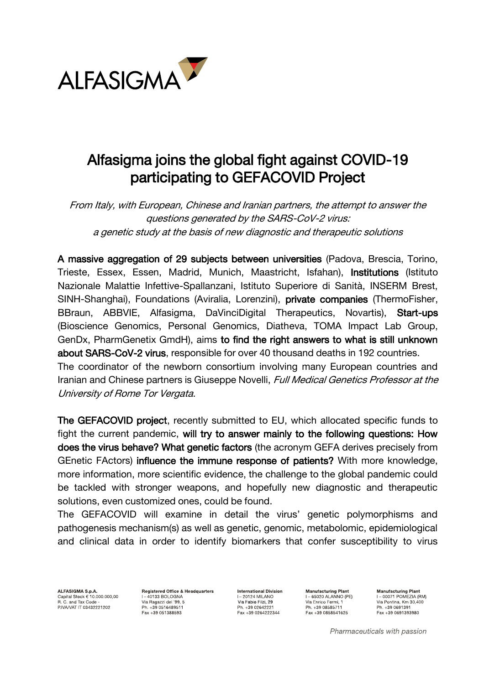

## Alfasigma joins the global fight against COVID-19 participating to GEFACOVID Project

From Italy, with European, Chinese and Iranian partners, the attempt to answer the questions generated by the SARS-CoV-2 virus: a genetic study at the basis of new diagnostic and therapeutic solutions

A massive aggregation of 29 subjects between universities (Padova, Brescia, Torino, Trieste, Essex, Essen, Madrid, Munich, Maastricht, Isfahan), Institutions (Istituto Nazionale Malattie Infettive-Spallanzani, Istituto Superiore di Sanità, INSERM Brest, SINH-Shanghai), Foundations (Aviralia, Lorenzini), private companies (ThermoFisher, BBraun, ABBVIE, Alfasigma, DaVinciDigital Therapeutics, Novartis), Start-ups (Bioscience Genomics, Personal Genomics, Diatheva, TOMA Impact Lab Group, GenDx, PharmGenetix GmdH), aims to find the right answers to what is still unknown about SARS-CoV-2 virus, responsible for over 40 thousand deaths in 192 countries. The coordinator of the newborn consortium involving many European countries and Iranian and Chinese partners is Giuseppe Novelli, Full Medical Genetics Professor at the

University of Rome Tor Vergata.

The GEFACOVID project, recently submitted to EU, which allocated specific funds to fight the current pandemic, will try to answer mainly to the following questions: How does the virus behave? What genetic factors (the acronym GEFA derives precisely from GEnetic FActors) influence the immune response of patients? With more knowledge, more information, more scientific evidence, the challenge to the global pandemic could be tackled with stronger weapons, and hopefully new diagnostic and therapeutic solutions, even customized ones, could be found.

The GEFACOVID will examine in detail the virus' genetic polymorphisms and pathogenesis mechanism(s) as well as genetic, genomic, metabolomic, epidemiological and clinical data in order to identify biomarkers that confer susceptibility to virus

ALFASIGMA S.p.A. Capital Stock € 10.000.000,00<br>R. C. and Tax Code -<br>PIVA/VAT IT 03432221202 **Registered Office & Headquarters**  $I = 40133$  BOLOGNA Via Ragazzi del '99, 5 Ph. +39 0516489511 Fax +39 051388593

**International Division I-20124 MILANO** Via Fabio Filzi, 29 Ph. +39 02642221 Fax +39 0264222344

**Manufacturing Plant**  $I - 65020$  ALANNO (PE) Via Enrico Fermi, 1<br>Via Enrico Fermi, 1 Ph. +39 08585711 Fax +39 0858541625

**Manufacturing Plant** I-00071 POMEZIA (RM) T= 0007 TT OMEZIA (HW<br>Via Pontina, Km 30,400 Ph. +39 0691391 Fax +39 0691393980

Pharmaceuticals with passion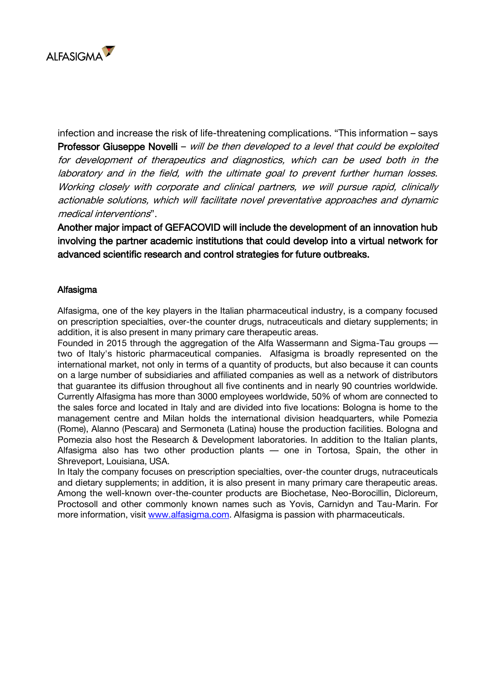

infection and increase the risk of life-threatening complications. "This information – says Professor Giuseppe Novelli – will be then developed to a level that could be exploited for development of therapeutics and diagnostics, which can be used both in the laboratory and in the field, with the ultimate goal to prevent further human losses. Working closely with corporate and clinical partners, we will pursue rapid, clinically actionable solutions, which will facilitate novel preventative approaches and dynamic medical interventions".

Another major impact of GEFACOVID will include the development of an innovation hub involving the partner academic institutions that could develop into a virtual network for advanced scientific research and control strategies for future outbreaks.

## Alfasigma

Alfasigma, one of the key players in the Italian pharmaceutical industry, is a company focused on prescription specialties, over-the counter drugs, nutraceuticals and dietary supplements; in addition, it is also present in many primary care therapeutic areas.

Founded in 2015 through the aggregation of the Alfa Wassermann and Sigma-Tau groups two of Italy's historic pharmaceutical companies. Alfasigma is broadly represented on the international market, not only in terms of a quantity of products, but also because it can counts on a large number of subsidiaries and affiliated companies as well as a network of distributors that guarantee its diffusion throughout all five continents and in nearly 90 countries worldwide. Currently Alfasigma has more than 3000 employees worldwide, 50% of whom are connected to the sales force and located in Italy and are divided into five locations: Bologna is home to the management centre and Milan holds the international division headquarters, while Pomezia (Rome), Alanno (Pescara) and Sermoneta (Latina) house the production facilities. Bologna and Pomezia also host the Research & Development laboratories. In addition to the Italian plants. Alfasigma also has two other production plants — one in Tortosa, Spain, the other in Shreveport, Louisiana, USA.

In Italy the company focuses on prescription specialties, over-the counter drugs, nutraceuticals and dietary supplements; in addition, it is also present in many primary care therapeutic areas. Among the well-known over-the-counter products are Biochetase, Neo-Borocillin, Dicloreum, Proctosoll and other commonly known names such as Yovis, Carnidyn and Tau-Marin. For more information, visit [www.alfasigma.com.](http://www.alfasigma.com/) Alfasigma is passion with pharmaceuticals.